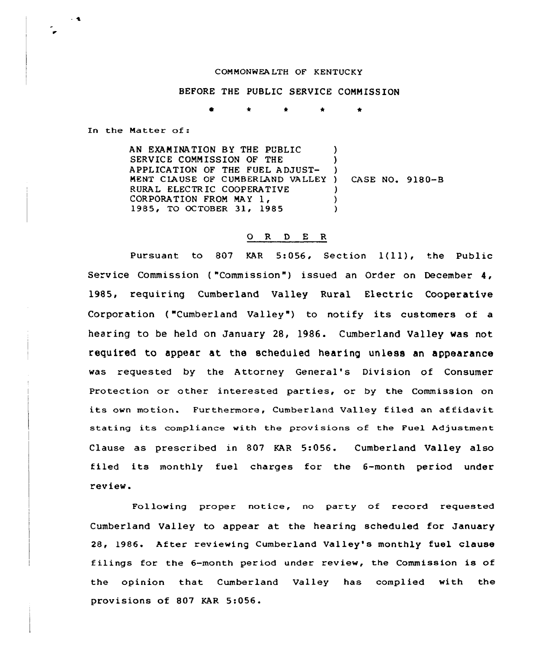## COMMONWEALTH OF KENTUCKY

BEFORE THE PUBLIC SERVICE COMMISSION

In the Matter of:

AN EXAMINATION BY THE PUBLIC SERVICE COMMISSION OF THE APPLICATION OF THE FUEL ADJUST-MENT CLAUSE OF CUMBERLAND VALLEY) RURAL ELECTRIC COOPERATIVE<br>CORPORATION FROM MAY 1, 1985, TO OCTOBER 31, 1985 ) ) ) ) CASE NO. 9180-B ) )  $\lambda$ 

## 0 R <sup>D</sup> E R

Pursuant to <sup>807</sup> KAR 5:056, Section 1(11), the Public Service Commission ("Commission") issued an Order on December 4, 1985, requiring Cumberland Valley Rural Electric Cooperative Corporation ("Cumberland Valley") to notify its customers of a hearing to be held on January 28, 1986. Cumberland Valley was not required to appear at the scheduled hearing unless an appearance was requested by the Attorney General's Division of Consumer Protection or other interested parties, or by the Commission on its own motion. Furthermore, Cumberland Valley filed an affidavit stating its compliance with the provisions of the Fuel Adjustment Clause as prescribed in 807 KAR 5:056. Cumberland Valley also filed its monthly fuel charges for the 6-month period under review.

Following proper notice, no party of record requested Cumberland Valley to appear at the hearing scheduled for January 28, 1986. After reviewing Cumberland Valley's monthly fuel clause filings for the 6-month period under review, the Commission is of the opinion that Cumberland Valley has complied with the provisions of 807 KAR 5:056.